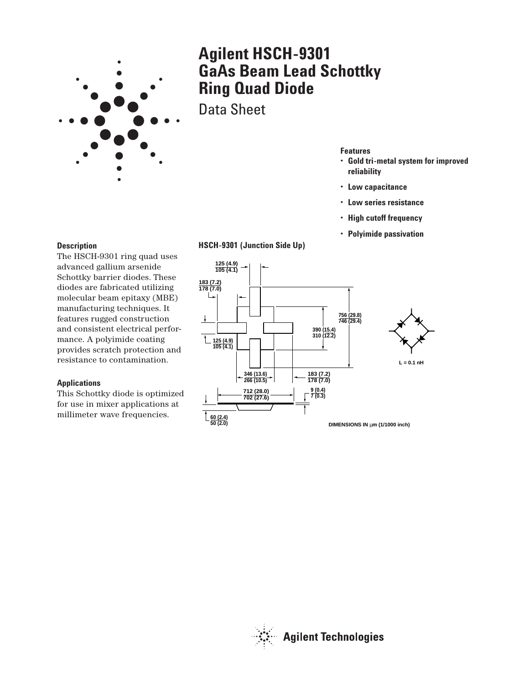

# **Agilent HSCH-9301 GaAs Beam Lead Schottky Ring Quad Diode**

Data Sheet

# **Features**

- **Gold tri-metal system for improved reliability**
- **Low capacitance**
- **Low series resistance**
- **High cutoff frequency**
- **Polyimide passivation**

#### **Description**

The HSCH-9301 ring quad uses advanced gallium arsenide Schottky barrier diodes. These diodes are fabricated utilizing molecular beam epitaxy (MBE) manufacturing techniques. It features rugged construction and consistent electrical performance. A polyimide coating provides scratch protection and resistance to contamination.

#### **Applications**

This Schottky diode is optimized for use in mixer applications at millimeter wave frequencies.

# **HSCH-9301 (Junction Side Up)**



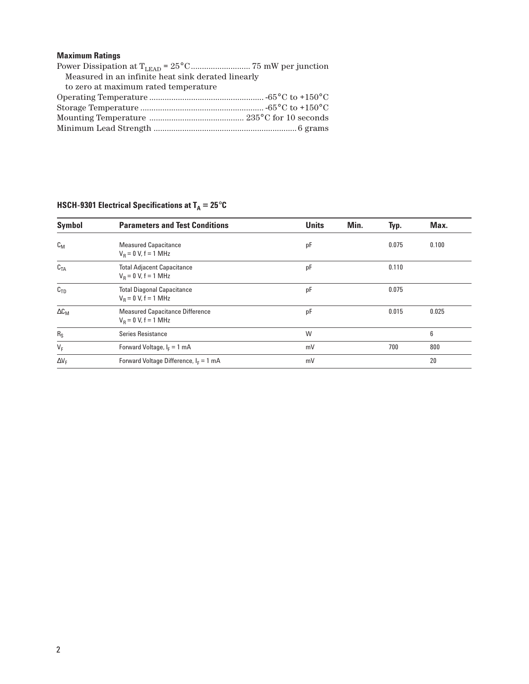# **Maximum Ratings**

| Measured in an infinite heat sink derated linearly |  |  |  |  |
|----------------------------------------------------|--|--|--|--|
| to zero at maximum rated temperature               |  |  |  |  |
|                                                    |  |  |  |  |
|                                                    |  |  |  |  |
|                                                    |  |  |  |  |
|                                                    |  |  |  |  |

| <b>Symbol</b>   | <b>Parameters and Test Conditions</b>                            | <b>Units</b> | Min. | Typ.  | Max.  |
|-----------------|------------------------------------------------------------------|--------------|------|-------|-------|
| $c_{M}$         | <b>Measured Capacitance</b><br>$V_R = 0 V, f = 1 MHz$            | рF           |      | 0.075 | 0.100 |
| C <sub>TA</sub> | <b>Total Adjacent Capacitance</b><br>$V_B = 0 V, f = 1 MHz$      | pF           |      | 0.110 |       |
| C <sub>TD</sub> | <b>Total Diagonal Capacitance</b><br>$V_R = 0 V, f = 1 MHz$      | pF           |      | 0.075 |       |
| $\Delta C_M$    | <b>Measured Capacitance Difference</b><br>$V_B = 0 V, f = 1 MHz$ | pF           |      | 0.015 | 0.025 |
| $R_S$           | Series Resistance                                                | W            |      |       | 6     |
| $V_F$           | Forward Voltage, $I_F = 1$ mA                                    | mV           |      | 700   | 800   |
| $\Delta V_F$    | Forward Voltage Difference, $I_F = 1$ mA                         | mV           |      |       | 20    |

# **HSCH-9301 Electrical Specifications at**  $T_A = 25^{\circ}C$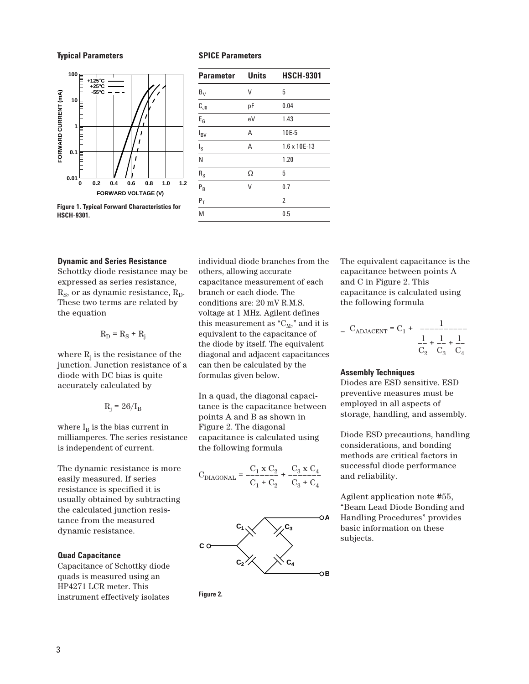#### **Typical Parameters**



**Figure 1. Typical Forward Characteristics for HSCH-9301.**

### **SPICE Parameters**

| <b>Parameter</b>    | <b>Units</b> | <b>HSCH-9301</b>      |
|---------------------|--------------|-----------------------|
| $B_V$               | V            | 5                     |
| $\overline{c_{J0}}$ | рF           | 0.04                  |
| $E_G$               | eV           | 1.43                  |
| I <sub>BV</sub>     | А            | 10E-5                 |
| $I_S$               | А            | $1.6 \times 10E - 13$ |
| N                   |              | 1.20                  |
| $R_S$               | Ω            | 5                     |
| $P_B$               | ٧            | 0.7                   |
| $P_T$               |              | $\overline{2}$        |
| M                   |              | 0.5                   |

#### **Dynamic and Series Resistance**

Schottky diode resistance may be expressed as series resistance,  $R<sub>S</sub>$ , or as dynamic resistance,  $R<sub>D</sub>$ . These two terms are related by the equation

 $R_D = R_S + R_i$ 

where  $R_j$  is the resistance of the junction. Junction resistance of a diode with DC bias is quite accurately calculated by

$$
R_j = 26/I_B
$$

where  $I_B$  is the bias current in milliamperes. The series resistance is independent of current.

The dynamic resistance is more easily measured. If series resistance is specified it is usually obtained by subtracting the calculated junction resistance from the measured dynamic resistance.

#### **Quad Capacitance**

Capacitance of Schottky diode quads is measured using an HP4271 LCR meter. This instrument effectively isolates

individual diode branches from the others, allowing accurate capacitance measurement of each branch or each diode. The conditions are: 20 mV R.M.S. voltage at 1 MHz. Agilent defines this measurement as " $C_M$ ," and it is equivalent to the capacitance of the diode by itself. The equivalent diagonal and adjacent capacitances can then be calculated by the formulas given below.

In a quad, the diagonal capacitance is the capacitance between points A and B as shown in Figure 2. The diagonal capacitance is calculated using the following formula

$$
C_{DIAGONAL} = \frac{C_1 \times C_2}{C_1 + C_2} + \frac{C_3 \times C_4}{C_3 + C_4}
$$



**Figure 2.**

The equivalent capacitance is the capacitance between points A and C in Figure 2. This capacitance is calculated using the following formula

$$
C_{\text{ADJACENT}} = C_1 + \frac{1}{C_2} + \frac{1}{C_3} + \frac{1}{C_4}
$$

#### **Assembly Techniques**

Diodes are ESD sensitive. ESD preventive measures must be employed in all aspects of storage, handling, and assembly.

Diode ESD precautions, handling considerations, and bonding methods are critical factors in successful diode performance and reliability.

Agilent application note #55, "Beam Lead Diode Bonding and Handling Procedures" provides basic information on these subjects.